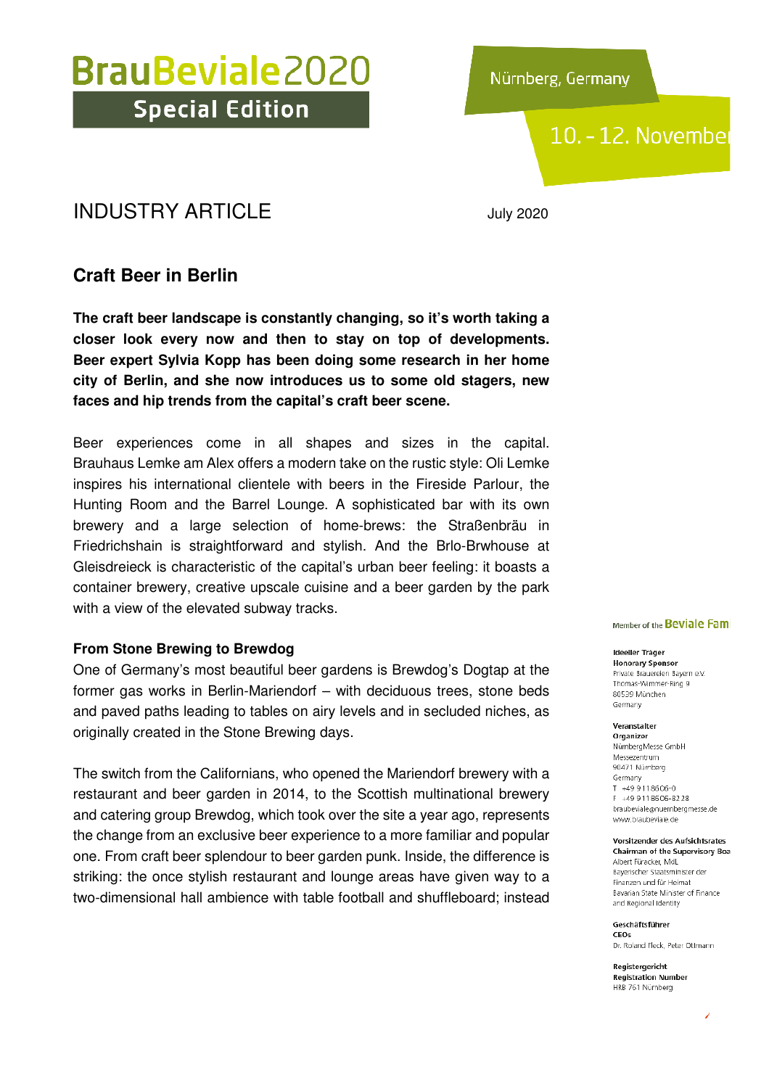Nürnberg, Germany

## 10. - 12. November

### INDUSTRY ARTICLE July 2020

### **Craft Beer in Berlin**

**The craft beer landscape is constantly changing, so it's worth taking a closer look every now and then to stay on top of developments. Beer expert Sylvia Kopp has been doing some research in her home city of Berlin, and she now introduces us to some old stagers, new faces and hip trends from the capital's craft beer scene.** 

Beer experiences come in all shapes and sizes in the capital. Brauhaus Lemke am Alex offers a modern take on the rustic style: Oli Lemke inspires his international clientele with beers in the Fireside Parlour, the Hunting Room and the Barrel Lounge. A sophisticated bar with its own brewery and a large selection of home-brews: the Straßenbräu in Friedrichshain is straightforward and stylish. And the Brlo-Brwhouse at Gleisdreieck is characteristic of the capital's urban beer feeling: it boasts a container brewery, creative upscale cuisine and a beer garden by the park with a view of the elevated subway tracks.

#### **From Stone Brewing to Brewdog**

One of Germany's most beautiful beer gardens is Brewdog's Dogtap at the former gas works in Berlin-Mariendorf – with deciduous trees, stone beds and paved paths leading to tables on airy levels and in secluded niches, as originally created in the Stone Brewing days.

The switch from the Californians, who opened the Mariendorf brewery with a restaurant and beer garden in 2014, to the Scottish multinational brewery and catering group Brewdog, which took over the site a year ago, represents the change from an exclusive beer experience to a more familiar and popular one. From craft beer splendour to beer garden punk. Inside, the difference is striking: the once stylish restaurant and lounge areas have given way to a two-dimensional hall ambience with table football and shuffleboard; instead Member of the Beviale Fami

#### Ideeller Träger **Honorary Sponsor**

Private Brauereien Bayern e.V. Thomas-Wimmer-Ring 9 80539 München Germany

Veranstalter

Organizer NürnbergMesse GmbH Messezentrum 90471 Nümberg Germany T +499118606-0 +49 9118606-8228 braubeviale@nuernbergmesse.de www.braubeviale.de

Vorsitzender des Aufsichtsrates Chairman of the Supervisory Boa Albert Füracker, MdL

Bayerischer Staatsminister der Finanzen und für Heimat Bavarian State Minister of Finance and Regional Identity

Geschäftsführer CEOS

Dr. Roland Fleck, Peter Ottmann

Registergericht **Registration Number** HRB 761 Nürnberg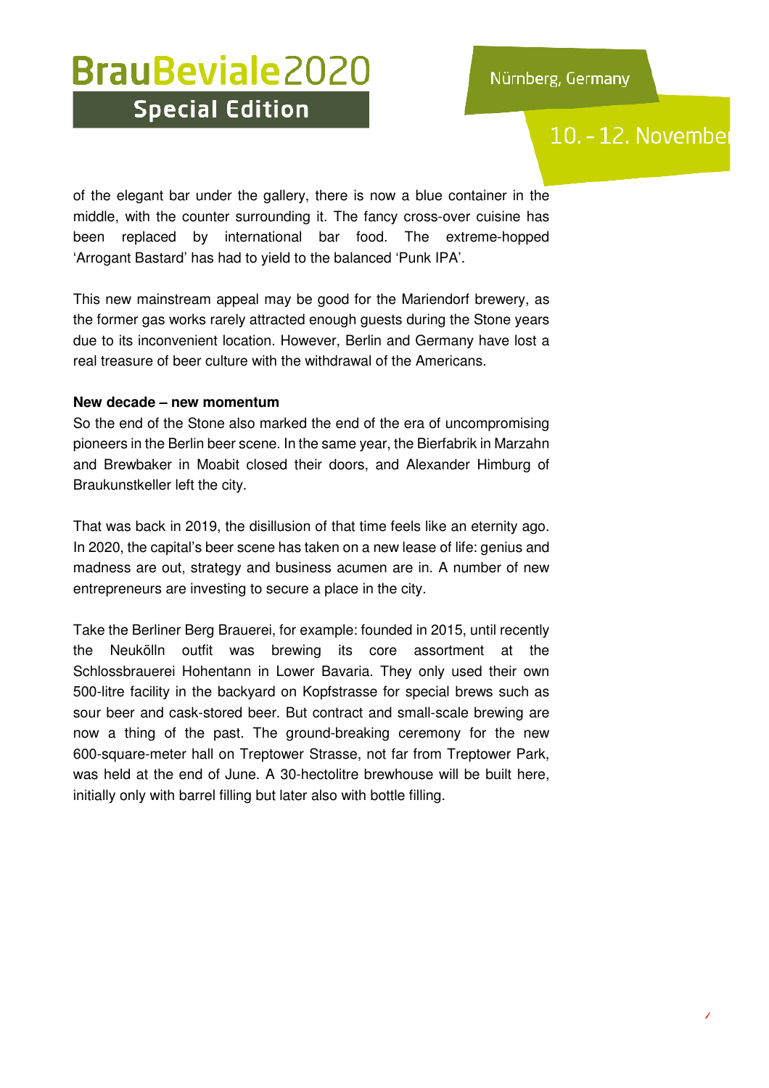### 10. - 12. Novembe

of the elegant bar under the gallery, there is now a blue container in the middle, with the counter surrounding it. The fancy cross-over cuisine has been replaced by international bar food. The extreme-hopped 'Arrogant Bastard' has had to yield to the balanced 'Punk IPA'.

This new mainstream appeal may be good for the Mariendorf brewery, as the former gas works rarely attracted enough guests during the Stone years due to its inconvenient location. However, Berlin and Germany have lost a real treasure of beer culture with the withdrawal of the Americans.

#### **New decade – new momentum**

So the end of the Stone also marked the end of the era of uncompromising pioneers in the Berlin beer scene. In the same year, the Bierfabrik in Marzahn and Brewbaker in Moabit closed their doors, and Alexander Himburg of Braukunstkeller left the city.

That was back in 2019, the disillusion of that time feels like an eternity ago. In 2020, the capital's beer scene has taken on a new lease of life: genius and madness are out, strategy and business acumen are in. A number of new entrepreneurs are investing to secure a place in the city.

Take the Berliner Berg Brauerei, for example: founded in 2015, until recently the Neukölln outfit was brewing its core assortment at the Schlossbrauerei Hohentann in Lower Bavaria. They only used their own 500-litre facility in the backyard on Kopfstrasse for special brews such as sour beer and cask-stored beer. But contract and small-scale brewing are now a thing of the past. The ground-breaking ceremony for the new 600-square-meter hall on Treptower Strasse, not far from Treptower Park, was held at the end of June. A 30-hectolitre brewhouse will be built here, initially only with barrel filling but later also with bottle filling.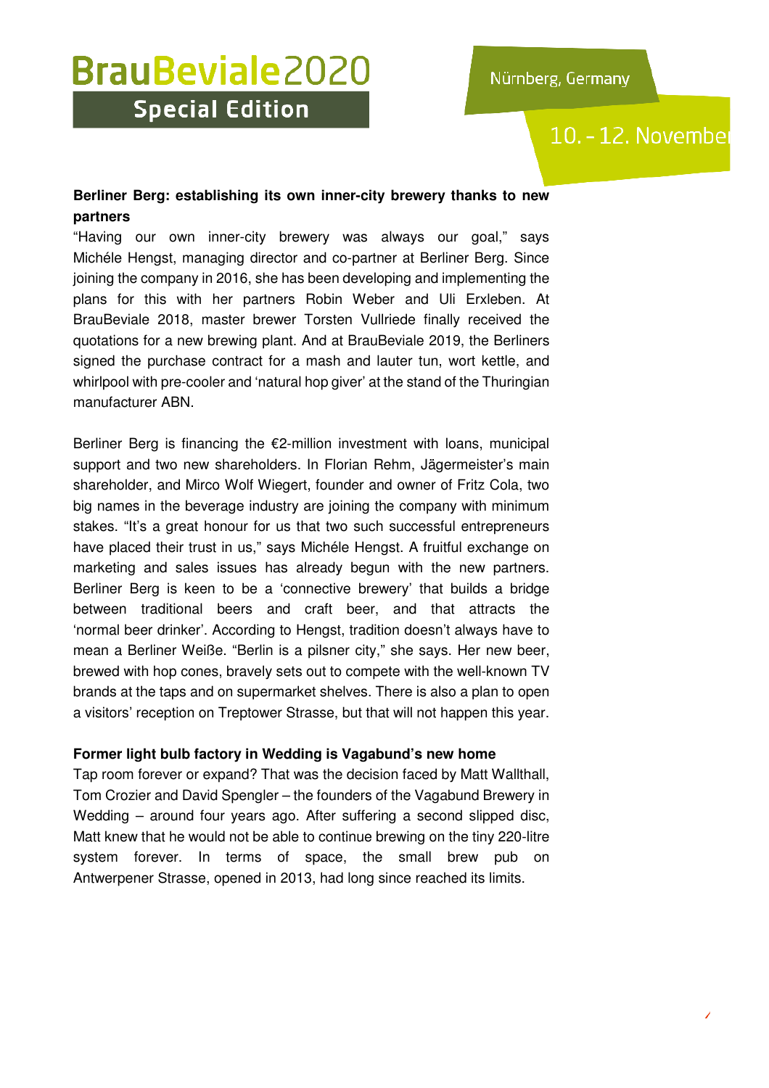## 10. - 12. November

### **Berliner Berg: establishing its own inner-city brewery thanks to new partners**

"Having our own inner-city brewery was always our goal," says Michéle Hengst, managing director and co-partner at Berliner Berg. Since joining the company in 2016, she has been developing and implementing the plans for this with her partners Robin Weber and Uli Erxleben. At BrauBeviale 2018, master brewer Torsten Vullriede finally received the quotations for a new brewing plant. And at BrauBeviale 2019, the Berliners signed the purchase contract for a mash and lauter tun, wort kettle, and whirlpool with pre-cooler and 'natural hop giver' at the stand of the Thuringian manufacturer ABN.

Berliner Berg is financing the  $E2$ -million investment with loans, municipal support and two new shareholders. In Florian Rehm, Jägermeister's main shareholder, and Mirco Wolf Wiegert, founder and owner of Fritz Cola, two big names in the beverage industry are joining the company with minimum stakes. "It's a great honour for us that two such successful entrepreneurs have placed their trust in us," says Michéle Hengst. A fruitful exchange on marketing and sales issues has already begun with the new partners. Berliner Berg is keen to be a 'connective brewery' that builds a bridge between traditional beers and craft beer, and that attracts the 'normal beer drinker'. According to Hengst, tradition doesn't always have to mean a Berliner Weiße. "Berlin is a pilsner city," she says. Her new beer, brewed with hop cones, bravely sets out to compete with the well-known TV brands at the taps and on supermarket shelves. There is also a plan to open a visitors' reception on Treptower Strasse, but that will not happen this year.

### **Former light bulb factory in Wedding is Vagabund's new home**

Tap room forever or expand? That was the decision faced by Matt Wallthall, Tom Crozier and David Spengler – the founders of the Vagabund Brewery in Wedding – around four years ago. After suffering a second slipped disc, Matt knew that he would not be able to continue brewing on the tiny 220-litre system forever. In terms of space, the small brew pub on Antwerpener Strasse, opened in 2013, had long since reached its limits.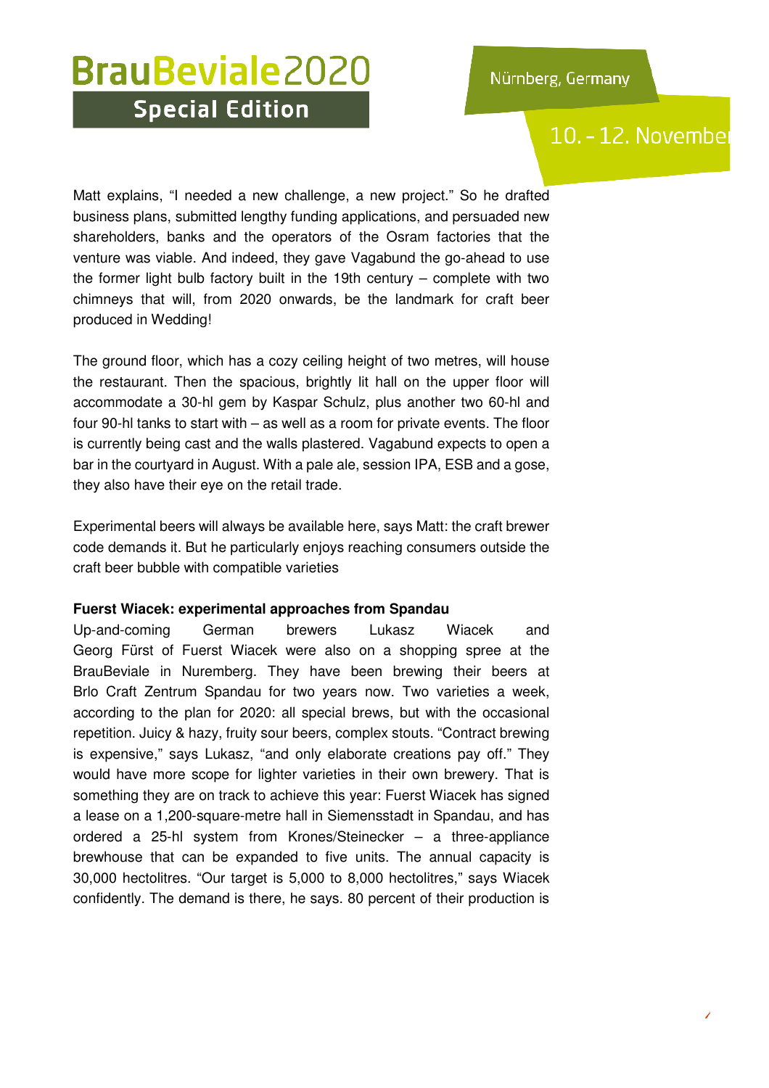## 10. - 12. Novembe

Matt explains, "I needed a new challenge, a new project." So he drafted business plans, submitted lengthy funding applications, and persuaded new shareholders, banks and the operators of the Osram factories that the venture was viable. And indeed, they gave Vagabund the go-ahead to use the former light bulb factory built in the 19th century – complete with two chimneys that will, from 2020 onwards, be the landmark for craft beer produced in Wedding!

The ground floor, which has a cozy ceiling height of two metres, will house the restaurant. Then the spacious, brightly lit hall on the upper floor will accommodate a 30-hl gem by Kaspar Schulz, plus another two 60-hl and four 90-hl tanks to start with – as well as a room for private events. The floor is currently being cast and the walls plastered. Vagabund expects to open a bar in the courtyard in August. With a pale ale, session IPA, ESB and a gose, they also have their eye on the retail trade.

Experimental beers will always be available here, says Matt: the craft brewer code demands it. But he particularly enjoys reaching consumers outside the craft beer bubble with compatible varieties

#### **Fuerst Wiacek: experimental approaches from Spandau**

Up-and-coming German brewers Lukasz Wiacek and Georg Fürst of Fuerst Wiacek were also on a shopping spree at the BrauBeviale in Nuremberg. They have been brewing their beers at Brlo Craft Zentrum Spandau for two years now. Two varieties a week, according to the plan for 2020: all special brews, but with the occasional repetition. Juicy & hazy, fruity sour beers, complex stouts. "Contract brewing is expensive," says Lukasz, "and only elaborate creations pay off." They would have more scope for lighter varieties in their own brewery. That is something they are on track to achieve this year: Fuerst Wiacek has signed a lease on a 1,200-square-metre hall in Siemensstadt in Spandau, and has ordered a 25-hl system from Krones/Steinecker – a three-appliance brewhouse that can be expanded to five units. The annual capacity is 30,000 hectolitres. "Our target is 5,000 to 8,000 hectolitres," says Wiacek confidently. The demand is there, he says. 80 percent of their production is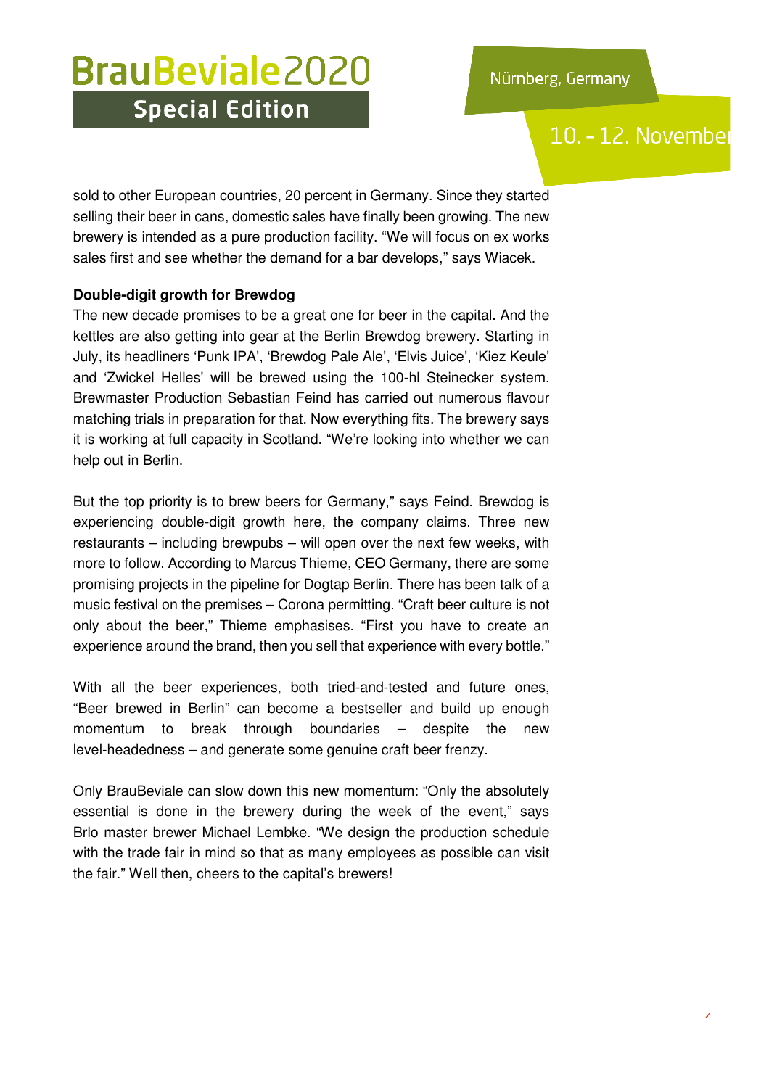### 10. - 12. Novembe

sold to other European countries, 20 percent in Germany. Since they started selling their beer in cans, domestic sales have finally been growing. The new brewery is intended as a pure production facility. "We will focus on ex works sales first and see whether the demand for a bar develops," says Wiacek.

#### **Double-digit growth for Brewdog**

The new decade promises to be a great one for beer in the capital. And the kettles are also getting into gear at the Berlin Brewdog brewery. Starting in July, its headliners 'Punk IPA', 'Brewdog Pale Ale', 'Elvis Juice', 'Kiez Keule' and 'Zwickel Helles' will be brewed using the 100-hl Steinecker system. Brewmaster Production Sebastian Feind has carried out numerous flavour matching trials in preparation for that. Now everything fits. The brewery says it is working at full capacity in Scotland. "We're looking into whether we can help out in Berlin.

But the top priority is to brew beers for Germany," says Feind. Brewdog is experiencing double-digit growth here, the company claims. Three new restaurants – including brewpubs – will open over the next few weeks, with more to follow. According to Marcus Thieme, CEO Germany, there are some promising projects in the pipeline for Dogtap Berlin. There has been talk of a music festival on the premises – Corona permitting. "Craft beer culture is not only about the beer," Thieme emphasises. "First you have to create an experience around the brand, then you sell that experience with every bottle."

With all the beer experiences, both tried-and-tested and future ones, "Beer brewed in Berlin" can become a bestseller and build up enough momentum to break through boundaries – despite the new level-headedness – and generate some genuine craft beer frenzy.

Only BrauBeviale can slow down this new momentum: "Only the absolutely essential is done in the brewery during the week of the event," says Brlo master brewer Michael Lembke. "We design the production schedule with the trade fair in mind so that as many employees as possible can visit the fair." Well then, cheers to the capital's brewers!